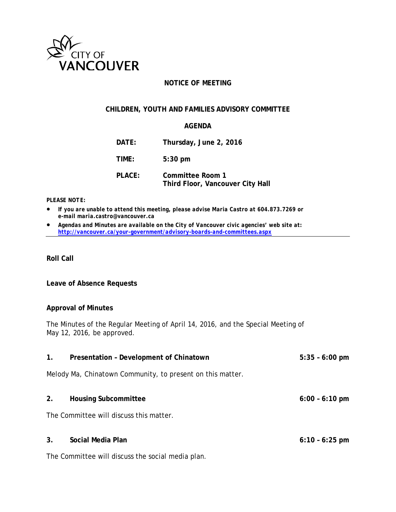

# **NOTICE OF MEETING**

# **CHILDREN, YOUTH AND FAMILIES ADVISORY COMMITTEE**

# **AGENDA**

| DATE:  | Thursday, June 2, 2016                               |
|--------|------------------------------------------------------|
| TIME:  | $5:30$ pm                                            |
| PLACE: | Committee Room 1<br>Third Floor, Vancouver City Hall |

#### *PLEASE NOTE:*

- *If you are unable to attend this meeting, please advise Maria Castro at 604.873.7269 or e-mail maria.castro@vancouver.ca*
- *Agendas and Minutes are available on the City of Vancouver civic agencies' web site at: <http://vancouver.ca/your-government/advisory-boards-and-committees.aspx>*

**Roll Call**

### **Leave of Absence Requests**

### **Approval of Minutes**

The Minutes of the Regular Meeting of April 14, 2016, and the Special Meeting of May 12, 2016, be approved.

| 1.             | Presentation - Development of Chinatown                    | $5:35 - 6:00$ pm         |
|----------------|------------------------------------------------------------|--------------------------|
|                | Melody Ma, Chinatown Community, to present on this matter. |                          |
| 2.             | <b>Housing Subcommittee</b>                                | $6:00 - 6:10 \text{ pm}$ |
|                | The Committee will discuss this matter.                    |                          |
| 3 <sub>1</sub> | Social Media Plan                                          | $6:10 - 6:25$ pm         |
|                | The Committee will discuss the social media plan.          |                          |